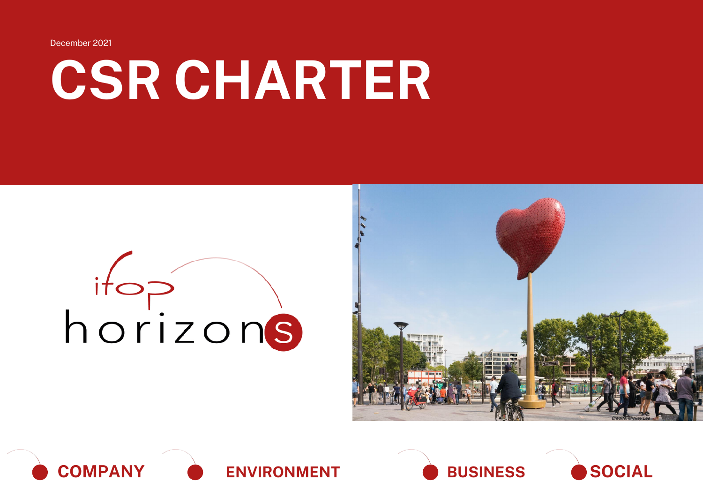December 2021

# CSR CHARTER

# ifop







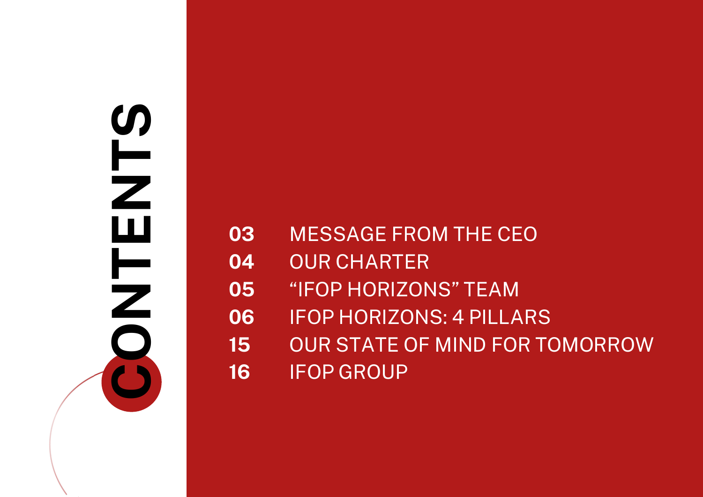# H<br>N<br>N<br>N<br>N<br>N<br>N<br>N<br>N<br>N<br>N<br>N<br>N<br>N<br>N<br> $\geq$

- 03 MESSAGE FROM THE CEO
- 04 OUR CHARTER
- 05 "IFOP HORIZONS" TEAM
- 06 IFOP HORIZONS: 4 PILLARS
- 15 OUR STATE OF MIND FOR TOMORROW
- 16 IFOP GROUP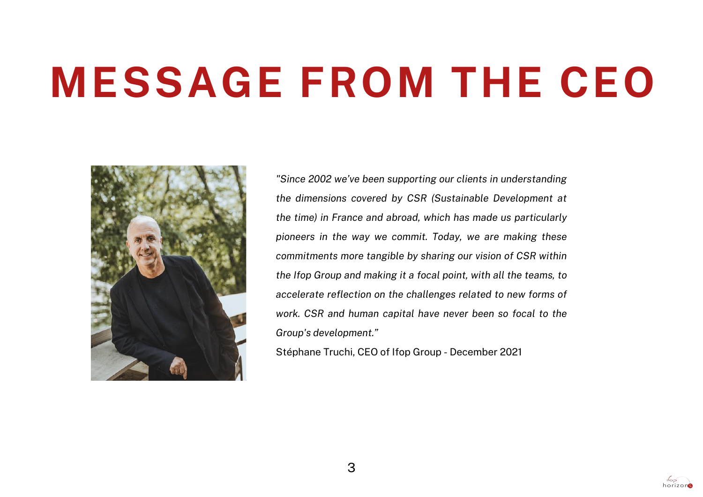## MESSAGE FROM THE CEO



*"Since 2002 we've been supporting our clients in understanding the dimensions covered by CSR (Sustainable Development at the time) in France and abroad, which has made us particularly pioneers in the way we commit. Today, we are making these commitments more tangible by sharing our vision of CSR within the Ifop Group and making it a focal point, with all the teams, to accelerate reflection on the challenges related to new forms of work. CSR and human capital have never been so focal to the Group's development."*

Stéphane Truchi, CEO of Ifop Group - December 2021

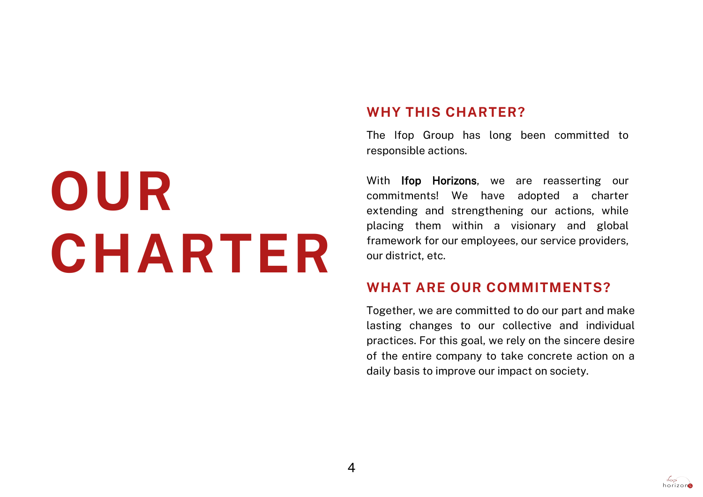# OUR CHARTER

### WHY THIS CHARTER?

The Ifop Group has long been committed to responsible actions.

With Ifop Horizons, we are reasserting our commitments! We have adopted a charter extending and strengthening our actions, while placing them within a visionary and global framework for our employees, our service providers, our district, etc.

### WHAT ARE OUR COMMITMENTS?

Together, we are committed to do our part and make lasting changes to our collective and individual practices. For this goal, we rely on the sincere desire of the entire company to take concrete action on a daily basis to improve our impact on society.

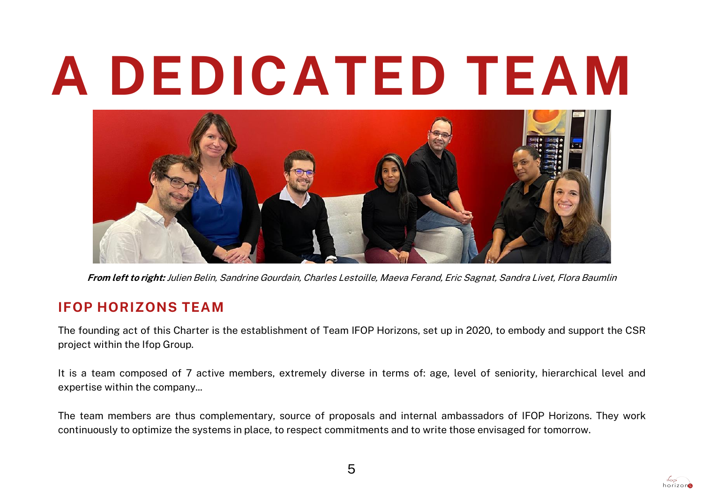# A DEDICATED TEAM



From left to right: Julien Belin, Sandrine Gourdain, Charles Lestoille, Maeva Ferand, Eric Sagnat, Sandra Livet, Flora Baumlin

### IFOP HORIZONS TEAM

The founding act of this Charter is the establishment of Team IFOP Horizons, set up in 2020, to embody and support the CSR project within the Ifop Group.

It is a team composed of 7 active members, extremely diverse in terms of: age, level of seniority, hierarchical level and expertise within the company...

The team members are thus complementary, source of proposals and internal ambassadors of IFOP Horizons. They work continuously to optimize the systems in place, to respect commitments and to write those envisaged for tomorrow.

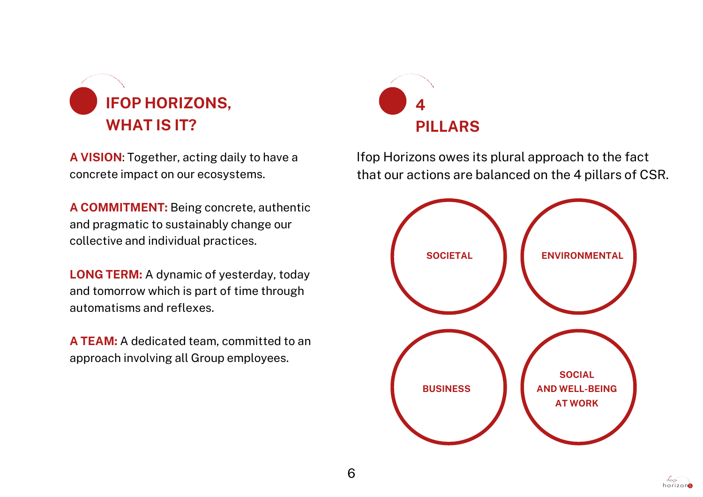

A VISION: Together, acting daily to have a concrete impact on our ecosystems.

A COMMITMENT: Being concrete, authentic and pragmatic to sustainably change our collective and individual practices.

LONG TERM: A dynamic of yesterday, today and tomorrow which is part of time through automatisms and reflexes.

A TEAM: A dedicated team, committed to an approach involving all Group employees.



Ifop Horizons owes its plural approach to the fact that our actions are balanced on the 4 pillars of CSR.



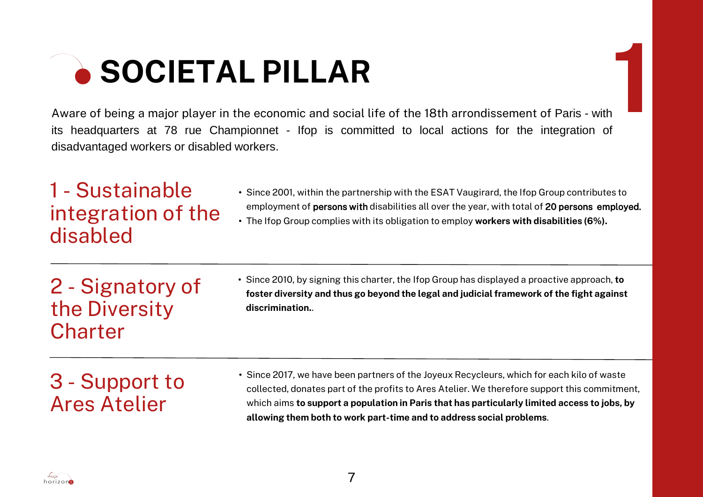Aware of being a major player in the economic and social life of the 18th arrondissement of Paris - with its headquarters at 78 rue Championnet - Ifop is committed to local actions for the integration of SOCIETAL PILLAR<br>Aware of being a major player in the economic and social life of the 18th arrondissement of Paris - with<br>its headquarters at 78 rue Championnet - Ifop is committed to local actions for the integration of<br>di 1

### 1 - Sustainable integration of the disabled

- Since 2001, within the partnership with the ESAT Vaugirard, the Ifop Group contributes to employment of persons with disabilities all over the year, with total of 20 persons employed.
- The Ifop Group complies with its obligation to employ workers with disabilities (6%).

2 - Signatory of the Diversity **Charter** 

• Since 2010, by signing this charter, the Ifop Group has displayed a proactive approach, to foster diversity and thus go beyond the legal and judicial framework of the fight against discrimination..

3 - Support to Ares Atelier

• Since 2017, we have been partners of the Joyeux Recycleurs, which for each kilo of waste collected, donates part of the profits to Ares Atelier. We therefore support this commitment, which aims to support a population in Paris that has particularly limited access to jobs, by allowing them both to work part-time and to address social problems.

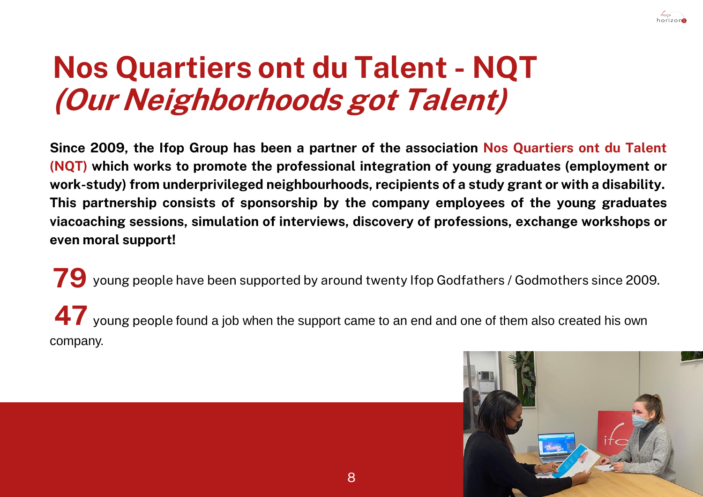

### Nos Quartiers ont du Talent - NQT (Our Neighborhoods got Talent)

Since 2009, the Ifop Group has been a partner of the association Nos Quartiers ont du Talent (NQT) which works to promote the professional integration of young graduates (employment or work-study) from underprivileged neighbourhoods, recipients of a study grant or with a disability. This partnership consists of sponsorship by the company employees of the young graduates viacoaching sessions, simulation of interviews, discovery of professions, exchange workshops or even moral support!

79 young people have been supported by around twenty Ifop Godfathers / Godmothers since 2009. 47 young people found a job when the support came to an end and one of them also created his own company.

8

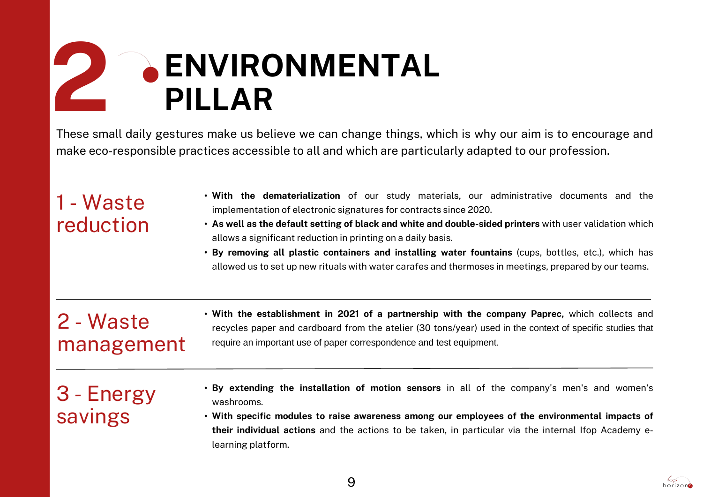### 2 ENVIRONMENTAL PILLAR

These small daily gestures make us believe we can change things, which is why our aim is to encourage and make eco-responsible practices accessible to all and which are particularly adapted to our profession.

### 1 - Waste reduction

- With the dematerialization of our study materials, our administrative documents and the implementation of electronic signatures for contracts since 2020.
- As well as the default setting of black and white and double-sided printers with user validation which allows a significant reduction in printing on a daily basis.
- By removing all plastic containers and installing water fountains (cups, bottles, etc.), which has allowed us to set up new rituals with water carafes and thermoses in meetings, prepared by our teams.

### 2 - Waste management

• With the establishment in 2021 of a partnership with the company Paprec, which collects and recycles paper and cardboard from the atelier (30 tons/year) used in the context of specific studies that require an important use of paper correspondence and test equipment.

### 3 - Energy savings

- By extending the installation of motion sensors in all of the company's men's and women's washrooms.
- With specific modules to raise awareness among our employees of the environmental impacts of their individual actions and the actions to be taken, in particular via the internal Ifop Academy elearning platform.

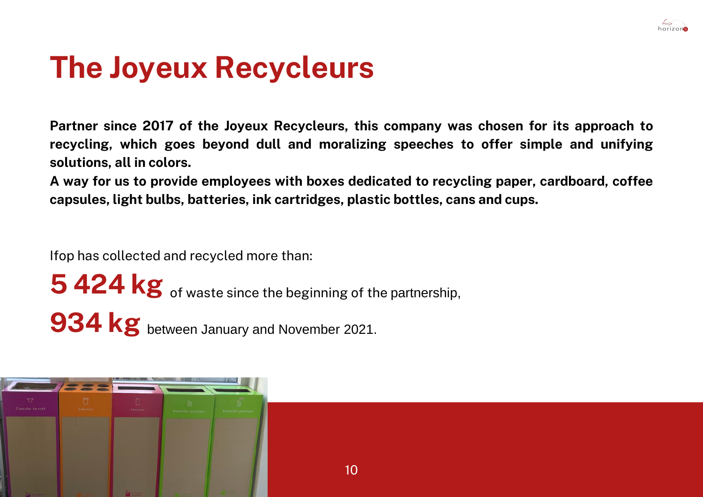

### The Joyeux Recycleurs

Partner since 2017 of the Joyeux Recycleurs, this company was chosen for its approach to recycling, which goes beyond dull and moralizing speeches to offer simple and unifying solutions, all in colors.

A way for us to provide employees with boxes dedicated to recycling paper, cardboard, coffee capsules, light bulbs, batteries, ink cartridges, plastic bottles, cans and cups.

10

Ifop has collected and recycled more than:

5424 kg of waste since the beginning of the partnership, 934 kg between January and November 2021.

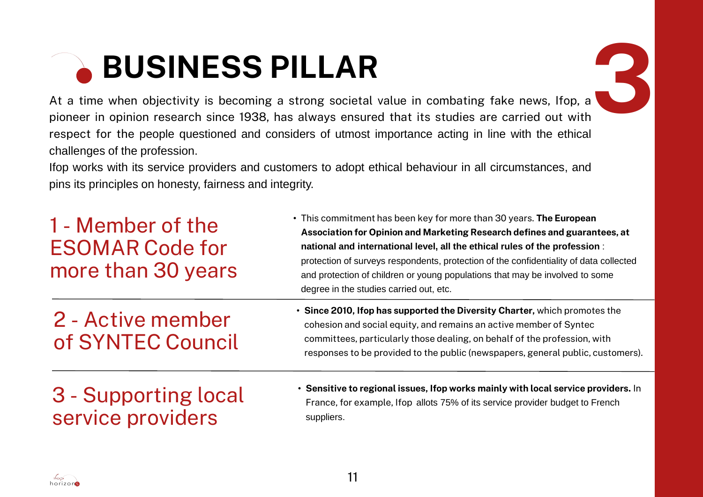### BUSINESS PILLAR

At a time when objectivity is becoming a strong societal value in combating fake news, Ifop pioneer in opinion research since 1938, has always ensured that its studies are carried out with respect for the people questioned and considers of utmost importance acting in line with the ethical  $\frac{1}{2}$ challenges of the profession.

Ifop works with its service providers and customers to adopt ethical behaviour in all circumstances, and pins its principles on honesty, fairness and integrity.

### 1 - Member of the ESOMAR Code for more than 30 years

• This commitment has been key for more than 30 years. The European Association for Opinion and Marketing Research defines and guarantees, at national and international level, all the ethical rules of the profession : protection of surveys respondents, protection of the confidentiality of data collected and protection of children or young populations that may be involved to some degree in the studies carried out, etc.

### 2 - Active member of SYNTEC Council

• Since 2010, Ifop has supported the Diversity Charter, which promotes the cohesion and social equity, and remains an active member of Syntec committees, particularly those dealing, on behalf of the profession, with responses to be provided to the public (newspapers, general public, customers).

### 3 - Supporting local service providers

• Sensitive to regional issues, Ifop works mainly with local service providers. In France, for example, Ifop allots 75% of its service provider budget to French suppliers.

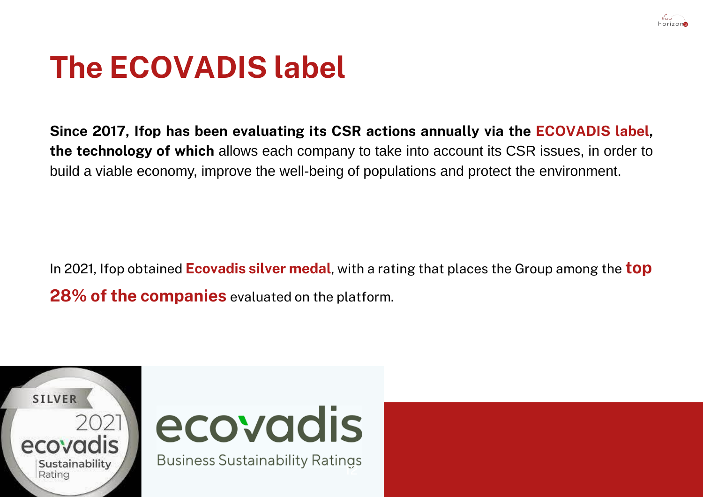

### The ECOVADIS label

Since 2017, Ifop has been evaluating its CSR actions annually via the ECOVADIS label, the technology of which allows each company to take into account its CSR issues, in order to build a viable economy, improve the well-being of populations and protect the environment.

In 2021, Ifop obtained **Ecovadis silver medal**, with a rating that places the Group among the **top 28% of the companies** evaluated on the platform.

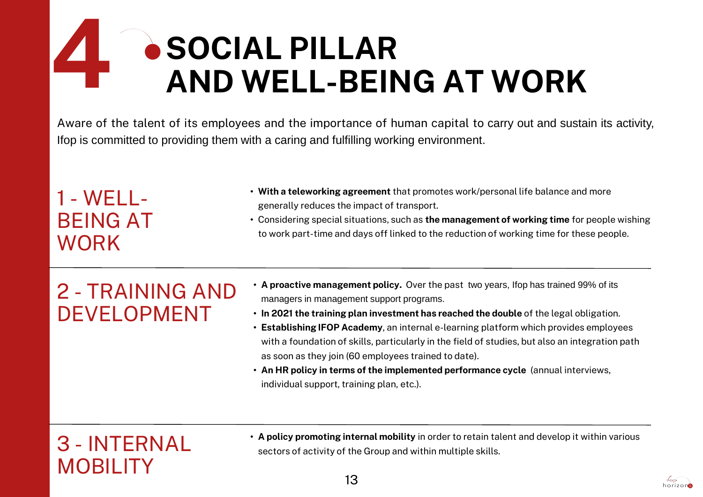### 4 SOCIAL PILLAR AND WELL-BEING AT WORK

Aware of the talent of its employees and the importance of human capital to carry out and sustain its activity, Ifop is committed to providing them with a caring and fulfilling working environment.

### 1 - WELL-BEING AT **WORK**

- With a teleworking agreement that promotes work/personal life balance and more generally reduces the impact of transport.
- Considering special situations, such as the management of working time for people wishing to work part-time and days off linked to the reduction of working time for these people.

### 2 - TRAINING AND DEVELOPMENT

- A proactive management policy. Over the past two years, Ifop has trained 99% of its managers in management support programs.
- In 2021 the training plan investment has reached the double of the legal obligation.
- Establishing IFOP Academy, an internal e-learning platform which provides employees with a foundation of skills, particularly in the field of studies, but also an integration path as soon as they join (60 employees trained to date).
- An HR policy in terms of the implemented performance cycle (annual interviews, individual support, training plan, etc.).

### 3 - INTERNAL **MOBILITY**

• A policy promoting internal mobility in order to retain talent and develop it within various sectors of activity of the Group and within multiple skills.

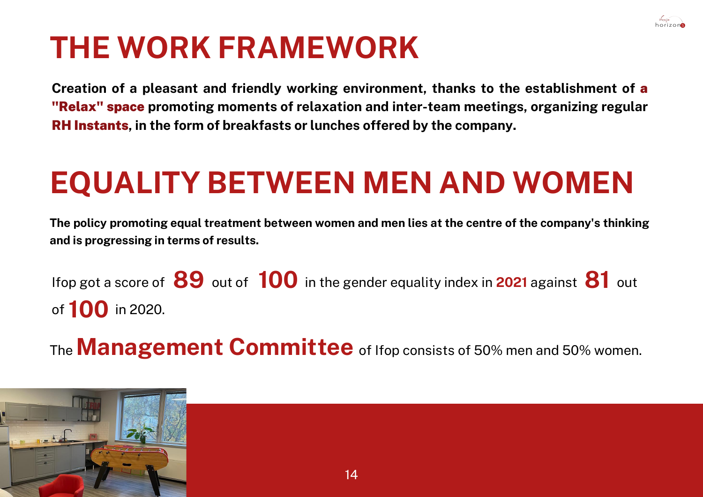

### THE WORK FRAMEWORK

Creation of a pleasant and friendly working environment, thanks to the establishment of a "Relax" space promoting moments of relaxation and inter-team meetings, organizing regular RH Instants, in the form of breakfasts or lunches offered by the company.

### EQUALITY BETWEEN MEN AND WOMEN

The policy promoting equal treatment between women and men lies at the centre of the company's thinking and is progressing in terms of results.

Ifop got a score of  $\bf 89\,$  out of  $\bf 100\,$  in the gender equality index in 2021 against  $\bf 81\,$  out of 100 in 2020.

The **Management Committee** of Ifop consists of 50% men and 50% women.

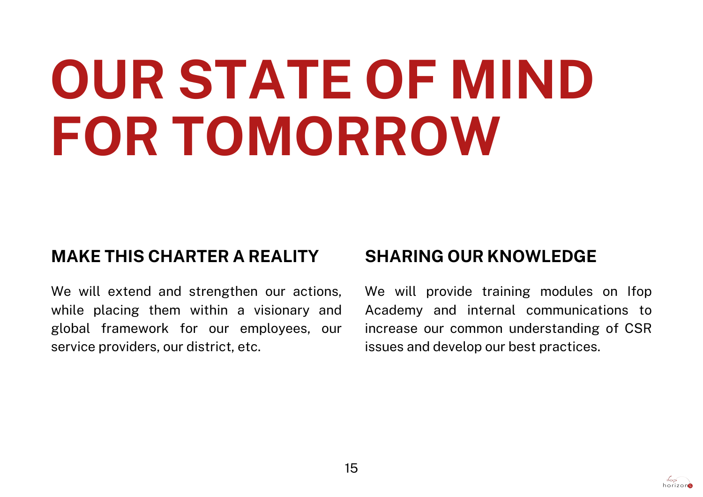# OUR STATE OF MIND FOR TOMORROW

### MAKE THIS CHARTER A REALITY

We will extend and strengthen our actions, while placing them within a visionary and global framework for our employees, our service providers, our district, etc.

### SHARING OUR KNOWLEDGE

We will provide training modules on Ifop Academy and internal communications to increase our common understanding of CSR issues and develop our best practices.